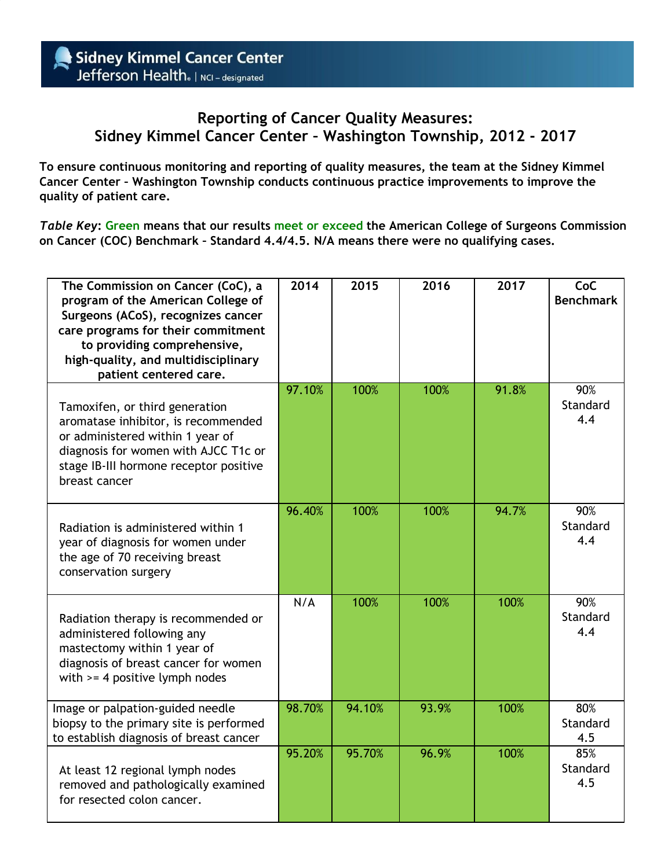## **Reporting of Cancer Quality Measures: Sidney Kimmel Cancer Center – Washington Township, 2012 - 2017**

**To ensure continuous monitoring and reporting of quality measures, the team at the Sidney Kimmel Cancer Center – Washington Township conducts continuous practice improvements to improve the quality of patient care.**

*Table Key***: Green means that our results meet or exceed the American College of Surgeons Commission on Cancer (COC) Benchmark – Standard 4.4/4.5. N/A means there were no qualifying cases.**

| The Commission on Cancer (CoC), a<br>program of the American College of<br>Surgeons (ACoS), recognizes cancer<br>care programs for their commitment<br>to providing comprehensive,<br>high-quality, and multidisciplinary<br>patient centered care. | 2014   | 2015   | 2016  | 2017  | CoC<br><b>Benchmark</b> |
|-----------------------------------------------------------------------------------------------------------------------------------------------------------------------------------------------------------------------------------------------------|--------|--------|-------|-------|-------------------------|
| Tamoxifen, or third generation<br>aromatase inhibitor, is recommended<br>or administered within 1 year of<br>diagnosis for women with AJCC T1c or<br>stage IB-III hormone receptor positive<br>breast cancer                                        | 97.10% | 100%   | 100%  | 91.8% | 90%<br>Standard<br>4.4  |
| Radiation is administered within 1<br>year of diagnosis for women under<br>the age of 70 receiving breast<br>conservation surgery                                                                                                                   | 96.40% | 100%   | 100%  | 94.7% | 90%<br>Standard<br>4.4  |
| Radiation therapy is recommended or<br>administered following any<br>mastectomy within 1 year of<br>diagnosis of breast cancer for women<br>with $>=$ 4 positive lymph nodes                                                                        | N/A    | 100%   | 100%  | 100%  | 90%<br>Standard<br>4.4  |
| Image or palpation-guided needle<br>biopsy to the primary site is performed<br>to establish diagnosis of breast cancer                                                                                                                              | 98.70% | 94.10% | 93.9% | 100%  | 80%<br>Standard<br>4.5  |
| At least 12 regional lymph nodes<br>removed and pathologically examined<br>for resected colon cancer.                                                                                                                                               | 95.20% | 95.70% | 96.9% | 100%  | 85%<br>Standard<br>4.5  |